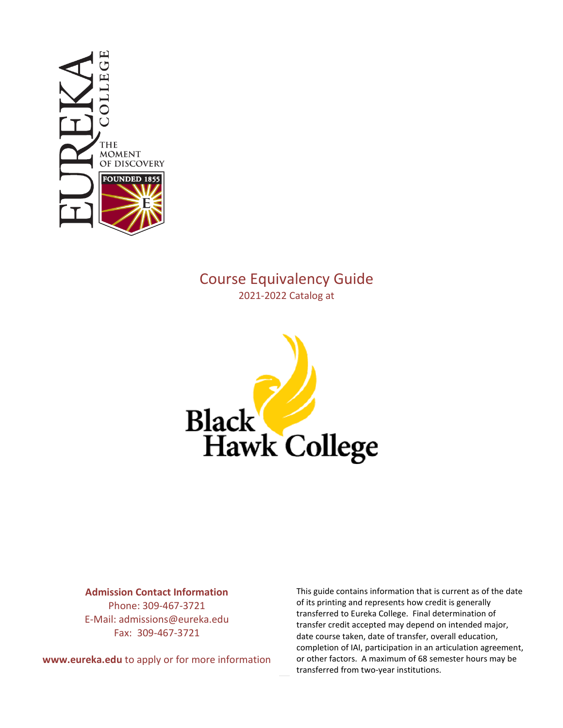

# Course Equivalency Guide 2021-2022 Catalog at



#### **Admission Contact Information**

Phone: 309-467-3721 E-Mail: admissions@eureka.edu Fax: 309-467-3721

**www.eureka.edu** to apply or for more information

This guide contains information that is current as of the date of its printing and represents how credit is generally transferred to Eureka College. Final determination of transfer credit accepted may depend on intended major, date course taken, date of transfer, overall education, completion of IAI, participation in an articulation agreement, or other factors. A maximum of 68 semester hours may be transferred from two-year institutions.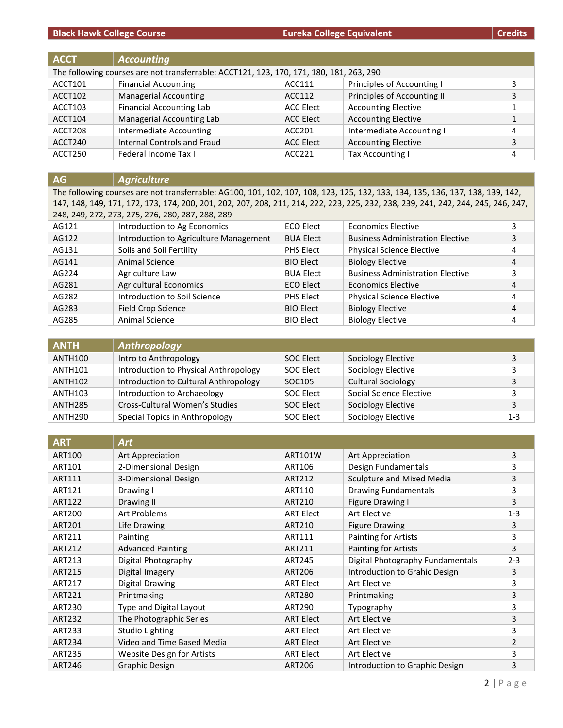**Black Hawk College Course Eureka College Equivalent Eureka College Equivalent Eureka College Equivalent Credits** 

| <b>ACCT</b> | <b>Accounting</b>                                                                       |                  |                             |   |
|-------------|-----------------------------------------------------------------------------------------|------------------|-----------------------------|---|
|             | The following courses are not transferrable: ACCT121, 123, 170, 171, 180, 181, 263, 290 |                  |                             |   |
| ACCT101     | <b>Financial Accounting</b>                                                             | ACC111           | Principles of Accounting I  |   |
| ACCT102     | <b>Managerial Accounting</b>                                                            | ACC112           | Principles of Accounting II | 3 |
| ACCT103     | <b>Financial Accounting Lab</b>                                                         | ACC Elect        | <b>Accounting Elective</b>  |   |
| ACCT104     | Managerial Accounting Lab                                                               | <b>ACC Elect</b> | <b>Accounting Elective</b>  |   |
| ACCT208     | <b>Intermediate Accounting</b>                                                          | ACC201           | Intermediate Accounting I   | 4 |
| ACCT240     | Internal Controls and Fraud                                                             | <b>ACC Elect</b> | <b>Accounting Elective</b>  | 3 |
| ACCT250     | Federal Income Tax I                                                                    | ACC221           | Tax Accounting I            |   |

### **AG** *Agriculture*

The following courses are not transferrable: AG100, 101, 102, 107, 108, 123, 125, 132, 133, 134, 135, 136, 137, 138, 139, 142, 147, 148, 149, 171, 172, 173, 174, 200, 201, 202, 207, 208, 211, 214, 222, 223, 225, 232, 238, 239, 241, 242, 244, 245, 246, 247, 248, 249, 272, 273, 275, 276, 280, 287, 288, 289

| AG121 | Introduction to Ag Economics           | <b>ECO Elect</b> | <b>Economics Elective</b>               | 3 |
|-------|----------------------------------------|------------------|-----------------------------------------|---|
| AG122 | Introduction to Agriculture Management | <b>BUA Elect</b> | <b>Business Administration Elective</b> | 3 |
| AG131 | Soils and Soil Fertility               | <b>PHS Elect</b> | <b>Physical Science Elective</b>        | 4 |
| AG141 | Animal Science                         | <b>BIO Elect</b> | <b>Biology Elective</b>                 | 4 |
| AG224 | Agriculture Law                        | <b>BUA Elect</b> | <b>Business Administration Elective</b> | 3 |
| AG281 | <b>Agricultural Economics</b>          | <b>ECO Elect</b> | <b>Economics Elective</b>               | 4 |
| AG282 | Introduction to Soil Science           | <b>PHS Elect</b> | <b>Physical Science Elective</b>        | 4 |
| AG283 | <b>Field Crop Science</b>              | <b>BIO Elect</b> | <b>Biology Elective</b>                 | 4 |
| AG285 | Animal Science                         | <b>BIO Elect</b> | <b>Biology Elective</b>                 | 4 |

| <b>ANTH</b>         | Anthropology                          |           |                           |         |
|---------------------|---------------------------------------|-----------|---------------------------|---------|
| <b>ANTH100</b>      | Intro to Anthropology                 | SOC Elect | Sociology Elective        | э.      |
| <b>ANTH101</b>      | Introduction to Physical Anthropology | SOC Elect | Sociology Elective        | э.      |
| <b>ANTH102</b>      | Introduction to Cultural Anthropology | SOC105    | <b>Cultural Sociology</b> | 3       |
| <b>ANTH103</b>      | Introduction to Archaeology           | SOC Elect | Social Science Elective   | ς       |
| <b>ANTH285</b>      | Cross-Cultural Women's Studies        | SOC Elect | Sociology Elective        | 3       |
| ANTH <sub>290</sub> | Special Topics in Anthropology        | SOC Elect | Sociology Elective        | $1 - 3$ |

| <b>ART</b>    | Art                               |                  |                                  |         |
|---------------|-----------------------------------|------------------|----------------------------------|---------|
| <b>ART100</b> | Art Appreciation                  | <b>ART101W</b>   | Art Appreciation                 | 3       |
| ART101        | 2-Dimensional Design              | ART106           | Design Fundamentals              | 3       |
| ART111        | 3-Dimensional Design              | ART212           | Sculpture and Mixed Media        | 3       |
| ART121        | Drawing I                         | ART110           | <b>Drawing Fundamentals</b>      | 3       |
| <b>ART122</b> | Drawing II                        | ART210           | Figure Drawing I                 | 3       |
| <b>ART200</b> | <b>Art Problems</b>               | <b>ART Elect</b> | Art Elective                     | $1 - 3$ |
| <b>ART201</b> | Life Drawing                      | ART210           | <b>Figure Drawing</b>            | 3       |
| ART211        | Painting                          | ART111           | Painting for Artists             | 3       |
| ART212        | <b>Advanced Painting</b>          | ART211           | <b>Painting for Artists</b>      | 3       |
| ART213        | Digital Photography               | <b>ART245</b>    | Digital Photography Fundamentals | $2 - 3$ |
| <b>ART215</b> | Digital Imagery                   | <b>ART206</b>    | Introduction to Grahic Design    | 3       |
| <b>ART217</b> | Digital Drawing                   | <b>ART Elect</b> | Art Elective                     | 3       |
| <b>ART221</b> | Printmaking                       | <b>ART280</b>    | Printmaking                      | 3       |
| <b>ART230</b> | Type and Digital Layout           | ART290           | Typography                       | 3       |
| <b>ART232</b> | The Photographic Series           | <b>ART Elect</b> | <b>Art Elective</b>              | 3       |
| <b>ART233</b> | <b>Studio Lighting</b>            | <b>ART Elect</b> | Art Elective                     | 3       |
| <b>ART234</b> | Video and Time Based Media        | <b>ART Elect</b> | Art Elective                     | 2       |
| <b>ART235</b> | <b>Website Design for Artists</b> | <b>ART Elect</b> | Art Elective                     | 3       |
| <b>ART246</b> | <b>Graphic Design</b>             | <b>ART206</b>    | Introduction to Graphic Design   | 3       |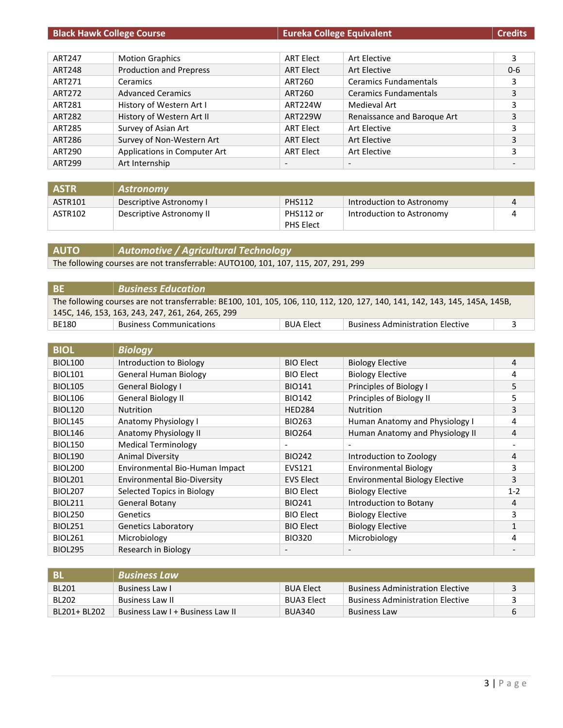| <b>Black Hawk College Course</b> |                                | <b>Eureka College Equivalent</b> |                              | <b>Credits</b> |
|----------------------------------|--------------------------------|----------------------------------|------------------------------|----------------|
|                                  |                                |                                  |                              |                |
| ART247                           | <b>Motion Graphics</b>         | <b>ART Elect</b>                 | <b>Art Elective</b>          | 3              |
| <b>ART248</b>                    | <b>Production and Prepress</b> | <b>ART Elect</b>                 | <b>Art Elective</b>          | $0-6$          |
| ART271                           | Ceramics                       | ART260                           | <b>Ceramics Fundamentals</b> | 3              |
| <b>ART272</b>                    | <b>Advanced Ceramics</b>       | ART260                           | <b>Ceramics Fundamentals</b> | 3              |
| ART281                           | History of Western Art I       | ART224W                          | Medieval Art                 | 3              |
| <b>ART282</b>                    | History of Western Art II      | <b>ART229W</b>                   | Renaissance and Baroque Art  | 3              |
| <b>ART285</b>                    | Survey of Asian Art            | <b>ART Elect</b>                 | Art Elective                 | 3              |
| ART286                           | Survey of Non-Western Art      | <b>ART Elect</b>                 | Art Elective                 | 3              |
| <b>ART290</b>                    | Applications in Computer Art   | <b>ART Elect</b>                 | Art Elective                 | 3              |
| ART299                           | Art Internship                 | $\qquad \qquad \blacksquare$     | $\overline{\phantom{a}}$     |                |

| <b>ASTR</b> | Astronomy                |               |                           |  |
|-------------|--------------------------|---------------|---------------------------|--|
| ASTR101     | Descriptive Astronomy I  | <b>PHS112</b> | Introduction to Astronomy |  |
| ASTR102     | Descriptive Astronomy II | PHS112 or     | Introduction to Astronomy |  |
|             |                          | PHS Elect     |                           |  |

#### **AUTO** *Automotive / Agricultural Technology*

The following courses are not transferrable: AUTO100, 101, 107, 115, 207, 291, 299

| -BE                                               | $\mid$ Business Education                                                                                                   |                  |                                         |  |
|---------------------------------------------------|-----------------------------------------------------------------------------------------------------------------------------|------------------|-----------------------------------------|--|
|                                                   | The following courses are not transferrable: BE100, 101, 105, 106, 110, 112, 120, 127, 140, 141, 142, 143, 145, 145A, 145B, |                  |                                         |  |
| 145C, 146, 153, 163, 243, 247, 261, 264, 265, 299 |                                                                                                                             |                  |                                         |  |
| BE180                                             | <b>Business Communications</b>                                                                                              | <b>BUA Elect</b> | <b>Business Administration Elective</b> |  |

| <b>BIOL</b>    | <b>Biology</b>                     |                          |                                       |         |
|----------------|------------------------------------|--------------------------|---------------------------------------|---------|
| <b>BIOL100</b> | Introduction to Biology            | <b>BIO Elect</b>         | <b>Biology Elective</b>               | 4       |
| <b>BIOL101</b> | <b>General Human Biology</b>       | <b>BIO Elect</b>         | <b>Biology Elective</b>               | 4       |
| <b>BIOL105</b> | General Biology I                  | <b>BIO141</b>            | Principles of Biology I               | 5       |
| <b>BIOL106</b> | <b>General Biology II</b>          | <b>BIO142</b>            | Principles of Biology II              | 5       |
| <b>BIOL120</b> | <b>Nutrition</b>                   | <b>HED284</b>            | <b>Nutrition</b>                      | 3       |
| <b>BIOL145</b> | Anatomy Physiology I               | <b>BIO263</b>            | Human Anatomy and Physiology I        | 4       |
| <b>BIOL146</b> | Anatomy Physiology II              | <b>BIO264</b>            | Human Anatomy and Physiology II       | 4       |
| <b>BIOL150</b> | <b>Medical Terminology</b>         | $\overline{\phantom{a}}$ |                                       |         |
| <b>BIOL190</b> | <b>Animal Diversity</b>            | <b>BIO242</b>            | Introduction to Zoology               | 4       |
| <b>BIOL200</b> | Environmental Bio-Human Impact     | EVS121                   | <b>Environmental Biology</b>          | 3       |
| <b>BIOL201</b> | <b>Environmental Bio-Diversity</b> | <b>EVS Elect</b>         | <b>Environmental Biology Elective</b> | 3       |
| <b>BIOL207</b> | Selected Topics in Biology         | <b>BIO Elect</b>         | <b>Biology Elective</b>               | $1 - 2$ |
| <b>BIOL211</b> | General Botany                     | <b>BIO241</b>            | Introduction to Botany                | 4       |
| <b>BIOL250</b> | Genetics                           | <b>BIO Elect</b>         | <b>Biology Elective</b>               | 3       |
| <b>BIOL251</b> | <b>Genetics Laboratory</b>         | <b>BIO Elect</b>         | <b>Biology Elective</b>               |         |
| <b>BIOL261</b> | Microbiology                       | <b>BIO320</b>            | Microbiology                          | 4       |
| <b>BIOL295</b> | Research in Biology                | $\overline{\phantom{a}}$ |                                       |         |

| -BI          | Business Law                     |                   |                                         |  |
|--------------|----------------------------------|-------------------|-----------------------------------------|--|
| <b>BL201</b> | Business Law L                   | <b>BUA Elect</b>  | <b>Business Administration Elective</b> |  |
| <b>BL202</b> | Business Law II                  | <b>BUA3 Elect</b> | <b>Business Administration Elective</b> |  |
| BL201+ BL202 | Business Law I + Business Law II | <b>BUA340</b>     | <b>Business Law</b>                     |  |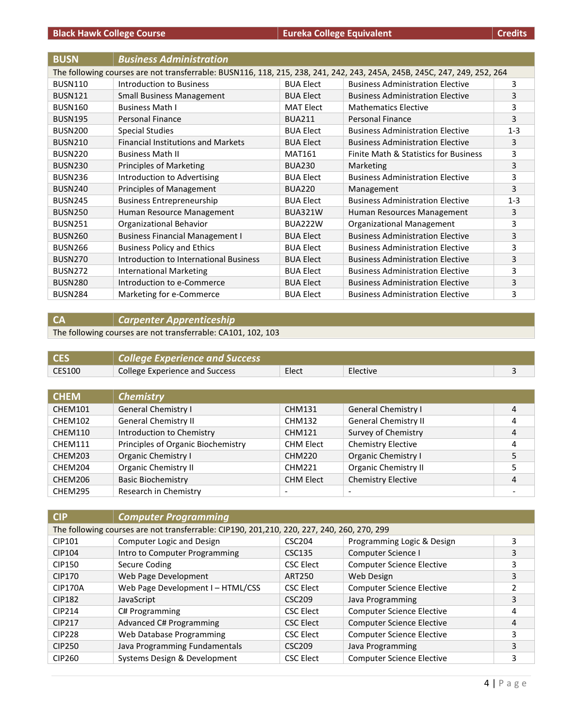| <b>BUSN</b>    | <b>Business Administration</b>                                                                                           |                  |                                         |         |  |  |
|----------------|--------------------------------------------------------------------------------------------------------------------------|------------------|-----------------------------------------|---------|--|--|
|                | The following courses are not transferrable: BUSN116, 118, 215, 238, 241, 242, 243, 245A, 245B, 245C, 247, 249, 252, 264 |                  |                                         |         |  |  |
| <b>BUSN110</b> | <b>Introduction to Business</b>                                                                                          | <b>BUA Elect</b> | <b>Business Administration Elective</b> | 3       |  |  |
| <b>BUSN121</b> | <b>Small Business Management</b>                                                                                         | <b>BUA Elect</b> | <b>Business Administration Elective</b> | 3       |  |  |
| <b>BUSN160</b> | <b>Business Math I</b>                                                                                                   | <b>MAT Elect</b> | <b>Mathematics Elective</b>             | 3       |  |  |
| <b>BUSN195</b> | <b>Personal Finance</b>                                                                                                  | <b>BUA211</b>    | <b>Personal Finance</b>                 | 3       |  |  |
| <b>BUSN200</b> | <b>Special Studies</b>                                                                                                   | <b>BUA Elect</b> | <b>Business Administration Elective</b> | $1 - 3$ |  |  |
| <b>BUSN210</b> | <b>Financial Institutions and Markets</b>                                                                                | <b>BUA Elect</b> | <b>Business Administration Elective</b> | 3       |  |  |
| <b>BUSN220</b> | <b>Business Math II</b>                                                                                                  | <b>MAT161</b>    | Finite Math & Statistics for Business   | 3       |  |  |
| <b>BUSN230</b> | <b>Principles of Marketing</b>                                                                                           | <b>BUA230</b>    | Marketing                               | 3       |  |  |
| <b>BUSN236</b> | Introduction to Advertising                                                                                              | <b>BUA Elect</b> | <b>Business Administration Elective</b> | 3       |  |  |
| <b>BUSN240</b> | Principles of Management                                                                                                 | <b>BUA220</b>    | Management                              | 3       |  |  |
| <b>BUSN245</b> | <b>Business Entrepreneurship</b>                                                                                         | <b>BUA Elect</b> | <b>Business Administration Elective</b> | $1 - 3$ |  |  |
| <b>BUSN250</b> | Human Resource Management                                                                                                | <b>BUA321W</b>   | Human Resources Management              | 3       |  |  |
| <b>BUSN251</b> | Organizational Behavior                                                                                                  | BUA222W          | Organizational Management               | 3       |  |  |
| <b>BUSN260</b> | <b>Business Financial Management I</b>                                                                                   | <b>BUA Elect</b> | <b>Business Administration Elective</b> | 3       |  |  |
| <b>BUSN266</b> | <b>Business Policy and Ethics</b>                                                                                        | <b>BUA Elect</b> | <b>Business Administration Elective</b> | 3       |  |  |
| <b>BUSN270</b> | Introduction to International Business                                                                                   | <b>BUA Elect</b> | <b>Business Administration Elective</b> | 3       |  |  |
| <b>BUSN272</b> | <b>International Marketing</b>                                                                                           | <b>BUA Elect</b> | <b>Business Administration Elective</b> | 3       |  |  |
| <b>BUSN280</b> | Introduction to e-Commerce                                                                                               | <b>BUA Elect</b> | <b>Business Administration Elective</b> | 3       |  |  |
| <b>BUSN284</b> | Marketing for e-Commerce                                                                                                 | <b>BUA Elect</b> | <b>Business Administration Elective</b> | 3       |  |  |

## **CA** *Carpenter Apprenticeship*

The following courses are not transferrable: CA101, 102, 103

|        | $\mid$ College Experience and Success |       |          |  |
|--------|---------------------------------------|-------|----------|--|
| CES100 | College Experience and Success        | Elect | Elective |  |

| <b>CHEM</b> | <b>Chemistry</b>                   |                          |                             |   |
|-------------|------------------------------------|--------------------------|-----------------------------|---|
| CHEM101     | General Chemistry I                | <b>CHM131</b>            | General Chemistry I         | 4 |
| CHEM102     | <b>General Chemistry II</b>        | <b>CHM132</b>            | <b>General Chemistry II</b> | 4 |
| CHEM110     | Introduction to Chemistry          | <b>CHM121</b>            | Survey of Chemistry         | 4 |
| CHEM111     | Principles of Organic Biochemistry | <b>CHM Elect</b>         | <b>Chemistry Elective</b>   | 4 |
| CHEM203     | Organic Chemistry I                | <b>CHM220</b>            | <b>Organic Chemistry I</b>  | 5 |
| CHEM204     | Organic Chemistry II               | CHM221                   | <b>Organic Chemistry II</b> | 5 |
| CHEM206     | <b>Basic Biochemistry</b>          | <b>CHM Elect</b>         | <b>Chemistry Elective</b>   | 4 |
| CHEM295     | Research in Chemistry              | $\overline{\phantom{a}}$ |                             | ۰ |

| <b>CIP</b>     | <b>Computer Programming</b>                                                                |                    |                                  |   |
|----------------|--------------------------------------------------------------------------------------------|--------------------|----------------------------------|---|
|                | The following courses are not transferrable: CIP190, 201,210, 220, 227, 240, 260, 270, 299 |                    |                                  |   |
| CIP101         | Computer Logic and Design                                                                  | CSC204             | Programming Logic & Design       | 3 |
| CIP104         | Intro to Computer Programming                                                              | <b>CSC135</b>      | Computer Science I               | 3 |
| <b>CIP150</b>  | Secure Coding                                                                              | <b>CSC Elect</b>   | <b>Computer Science Elective</b> | 3 |
| <b>CIP170</b>  | Web Page Development                                                                       | ART250             | Web Design                       | 3 |
| <b>CIP170A</b> | Web Page Development I - HTML/CSS                                                          | <b>CSC Elect</b>   | <b>Computer Science Elective</b> | 2 |
| <b>CIP182</b>  | JavaScript                                                                                 | <b>CSC209</b>      | Java Programming                 | 3 |
| <b>CIP214</b>  | C# Programming                                                                             | <b>CSC Elect</b>   | <b>Computer Science Elective</b> | 4 |
| <b>CIP217</b>  | Advanced C# Programming                                                                    | <b>CSC Elect</b>   | <b>Computer Science Elective</b> | 4 |
| <b>CIP228</b>  | Web Database Programming                                                                   | <b>CSC Elect</b>   | <b>Computer Science Elective</b> | 3 |
| <b>CIP250</b>  | Java Programming Fundamentals                                                              | CSC <sub>209</sub> | Java Programming                 | 3 |
| CIP260         | Systems Design & Development                                                               | <b>CSC Elect</b>   | <b>Computer Science Elective</b> | 3 |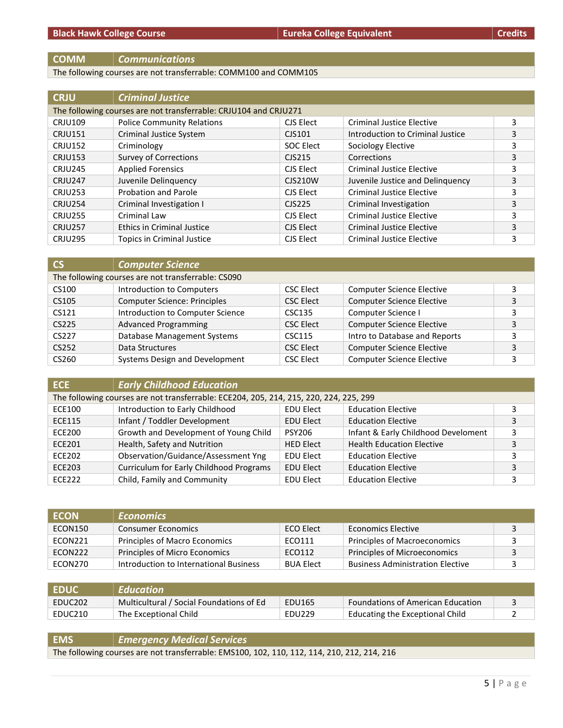#### **COMM** *Communications*

The following courses are not transferrable: COMM100 and COMM105

| <b>CRJU</b>    | <b>Criminal Justice</b>                                          |                                 |                                  |   |
|----------------|------------------------------------------------------------------|---------------------------------|----------------------------------|---|
|                | The following courses are not transferrable: CRJU104 and CRJU271 |                                 |                                  |   |
| <b>CRJU109</b> | <b>Police Community Relations</b>                                | CJS Elect                       | <b>Criminal Justice Elective</b> | 3 |
| <b>CRJU151</b> | Criminal Justice System                                          | CJS101                          | Introduction to Criminal Justice | 3 |
| <b>CRJU152</b> | Criminology                                                      | <b>SOC Elect</b>                | Sociology Elective               | 3 |
| <b>CRJU153</b> | <b>Survey of Corrections</b>                                     | C <sub>1</sub> S <sub>215</sub> | Corrections                      | 3 |
| <b>CRJU245</b> | <b>Applied Forensics</b>                                         | CJS Elect                       | <b>Criminal Justice Elective</b> | 3 |
| <b>CRJU247</b> | Juvenile Delinquency                                             | <b>CJS210W</b>                  | Juvenile Justice and Delinquency | 3 |
| <b>CRJU253</b> | <b>Probation and Parole</b>                                      | CJS Elect                       | <b>Criminal Justice Elective</b> | 3 |
| <b>CRJU254</b> | Criminal Investigation I                                         | CJS225                          | Criminal Investigation           | 3 |
| <b>CRJU255</b> | Criminal Law                                                     | CJS Elect                       | <b>Criminal Justice Elective</b> | 3 |
| <b>CRJU257</b> | <b>Ethics in Criminal Justice</b>                                | CJS Elect                       | <b>Criminal Justice Elective</b> | 3 |
| <b>CRJU295</b> | <b>Topics in Criminal Justice</b>                                | CJS Elect                       | Criminal Justice Elective        | 3 |

| <b>CS</b> | <b>Computer Science</b>                            |                  |                                  |   |
|-----------|----------------------------------------------------|------------------|----------------------------------|---|
|           | The following courses are not transferrable: CS090 |                  |                                  |   |
| CS100     | Introduction to Computers                          | <b>CSC Elect</b> | <b>Computer Science Elective</b> |   |
| CS105     | <b>Computer Science: Principles</b>                | <b>CSC Elect</b> | <b>Computer Science Elective</b> | 3 |
| CS121     | Introduction to Computer Science                   | CSC135           | Computer Science I               |   |
| CS225     | <b>Advanced Programming</b>                        | <b>CSC Elect</b> | <b>Computer Science Elective</b> |   |
| CS227     | Database Management Systems                        | CSC115           | Intro to Database and Reports    |   |
| CS252     | Data Structures                                    | <b>CSC Elect</b> | <b>Computer Science Elective</b> | 3 |
| CS260     | Systems Design and Development                     | <b>CSC Elect</b> | <b>Computer Science Elective</b> |   |

| <b>ECE</b>    | <b>Early Childhood Education</b>                                                       |                  |                                     |   |
|---------------|----------------------------------------------------------------------------------------|------------------|-------------------------------------|---|
|               | The following courses are not transferrable: ECE204, 205, 214, 215, 220, 224, 225, 299 |                  |                                     |   |
| <b>ECE100</b> | Introduction to Early Childhood                                                        | <b>EDU Elect</b> | <b>Education Elective</b>           |   |
| <b>ECE115</b> | Infant / Toddler Development                                                           | <b>EDU Elect</b> | <b>Education Elective</b>           |   |
| <b>ECE200</b> | Growth and Development of Young Child                                                  | <b>PSY206</b>    | Infant & Early Childhood Develoment |   |
| <b>ECE201</b> | Health, Safety and Nutrition                                                           | <b>HED Elect</b> | <b>Health Education Elective</b>    |   |
| <b>ECE202</b> | Observation/Guidance/Assessment Yng                                                    | <b>EDU Elect</b> | <b>Education Elective</b>           |   |
| <b>ECE203</b> | Curriculum for Early Childhood Programs                                                | <b>EDU Elect</b> | <b>Education Elective</b>           | 3 |
| <b>ECE222</b> | Child, Family and Community                                                            | <b>EDU Elect</b> | <b>Education Elective</b>           |   |

| <b>ECON</b> | <b>Economics</b>                       |                  |                                         |  |
|-------------|----------------------------------------|------------------|-----------------------------------------|--|
| ECON150     | <b>Consumer Economics</b>              | ECO Elect        | <b>Economics Elective</b>               |  |
| ECON221     | Principles of Macro Economics          | ECO111           | Principles of Macroeconomics            |  |
| ECON222     | Principles of Micro Economics          | ECO112           | Principles of Microeconomics            |  |
| ECON270     | Introduction to International Business | <b>BUA Elect</b> | <b>Business Administration Elective</b> |  |

| <b>EDUC</b> | Education                                |        |                                          |  |
|-------------|------------------------------------------|--------|------------------------------------------|--|
| EDUC202     | Multicultural / Social Foundations of Ed | EDU165 | <b>Foundations of American Education</b> |  |
| EDUC210     | The Exceptional Child                    | EDU229 | Educating the Exceptional Child          |  |

**EMS** *Emergency Medical Services* The following courses are not transferrable: EMS100, 102, 110, 112, 114, 210, 212, 214, 216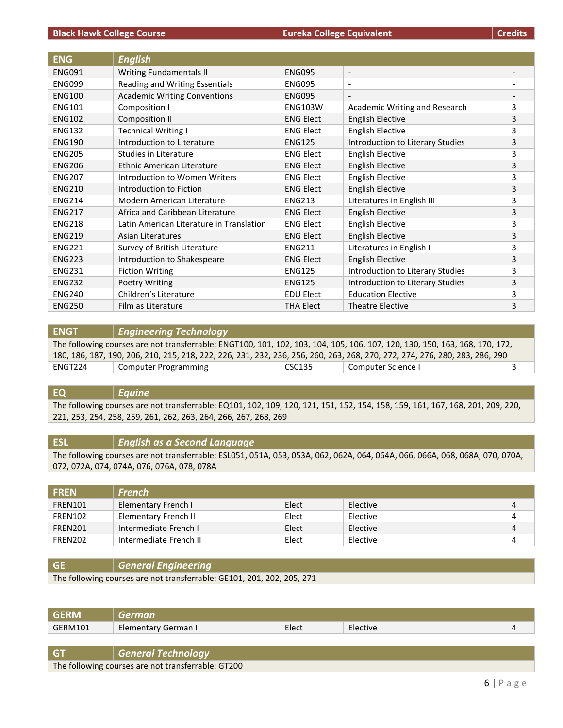| <b>ENG</b>    | <b>English</b>                           |                  |                                  |                          |
|---------------|------------------------------------------|------------------|----------------------------------|--------------------------|
| <b>ENG091</b> | <b>Writing Fundamentals II</b>           | <b>ENG095</b>    | $\overline{\phantom{a}}$         |                          |
| <b>ENG099</b> | Reading and Writing Essentials           | <b>ENG095</b>    | $\overline{\phantom{a}}$         |                          |
| <b>ENG100</b> | <b>Academic Writing Conventions</b>      | <b>ENG095</b>    | $\overline{\phantom{a}}$         | $\overline{\phantom{a}}$ |
| <b>ENG101</b> | Composition I                            | <b>ENG103W</b>   | Academic Writing and Research    | 3                        |
| <b>ENG102</b> | <b>Composition II</b>                    | <b>ENG Elect</b> | <b>English Elective</b>          | 3                        |
| <b>ENG132</b> | <b>Technical Writing I</b>               | <b>ENG Elect</b> | <b>English Elective</b>          | 3                        |
| <b>ENG190</b> | Introduction to Literature               | <b>ENG125</b>    | Introduction to Literary Studies | 3                        |
| <b>ENG205</b> | Studies in Literature                    | <b>ENG Elect</b> | <b>English Elective</b>          | 3                        |
| <b>ENG206</b> | Ethnic American Literature               | <b>ENG Elect</b> | <b>English Elective</b>          | 3                        |
| <b>ENG207</b> | Introduction to Women Writers            | <b>ENG Elect</b> | <b>English Elective</b>          | 3                        |
| <b>ENG210</b> | Introduction to Fiction                  | <b>ENG Elect</b> | <b>English Elective</b>          | 3                        |
| <b>ENG214</b> | Modern American Literature               | <b>ENG213</b>    | Literatures in English III       | 3                        |
| <b>ENG217</b> | Africa and Caribbean Literature          | <b>ENG Elect</b> | <b>English Elective</b>          | 3                        |
| <b>ENG218</b> | Latin American Literature in Translation | <b>ENG Elect</b> | <b>English Elective</b>          | 3                        |
| <b>ENG219</b> | Asian Literatures                        | <b>ENG Elect</b> | <b>English Elective</b>          | 3                        |
| <b>ENG221</b> | Survey of British Literature             | <b>ENG211</b>    | Literatures in English I         | 3                        |
| <b>ENG223</b> | Introduction to Shakespeare              | <b>ENG Elect</b> | <b>English Elective</b>          | 3                        |
| <b>ENG231</b> | <b>Fiction Writing</b>                   | <b>ENG125</b>    | Introduction to Literary Studies | 3                        |
| <b>ENG232</b> | Poetry Writing                           | <b>ENG125</b>    | Introduction to Literary Studies | 3                        |
| <b>ENG240</b> | Children's Literature                    | <b>EDU Elect</b> | <b>Education Elective</b>        | 3                        |
| <b>ENG250</b> | Film as Literature                       | <b>THA Elect</b> | <b>Theatre Elective</b>          | 3                        |

#### **ENGT** *Engineering Technology*

The following courses are not transferrable: ENGT100, 101, 102, 103, 104, 105, 106, 107, 120, 130, 150, 163, 168, 170, 172, 180, 186, 187, 190, 206, 210, 215, 218, 222, 226, 231, 232, 236, 256, 260, 263, 268, 270, 272, 274, 276, 280, 283, 286, 290 ENGT224 Computer Programming CSC135 Computer Science I 3

#### **EQ** *Equine*

The following courses are not transferrable: EQ101, 102, 109, 120, 121, 151, 152, 154, 158, 159, 161, 167, 168, 201, 209, 220, 221, 253, 254, 258, 259, 261, 262, 263, 264, 266, 267, 268, 269

#### **ESL** *English as a Second Language*

The following courses are not transferrable: ESL051, 051A, 053, 053A, 062, 062A, 064, 064A, 066, 066A, 068, 068A, 070, 070A, 072, 072A, 074, 074A, 076, 076A, 078, 078A

| <b>FREN</b> | <b>French</b>          |       |          |   |
|-------------|------------------------|-------|----------|---|
| FREN101     | Elementary French I    | Elect | Elective | 4 |
| FREN102     | Elementary French II   | Elect | Elective | 4 |
| FREN201     | Intermediate French I  | Elect | Elective | 4 |
| FREN202     | Intermediate French II | Elect | Elective | 4 |

| <b>GE</b> | General Engineering                                                    |
|-----------|------------------------------------------------------------------------|
|           | The following courses are not transferrable: GE101, 201, 202, 205, 271 |

| <b>GFRM</b> |                     |       |          |  |
|-------------|---------------------|-------|----------|--|
| GERM101     | Elementary German I | Elect | Elective |  |
|             |                     |       |          |  |

| -GT | √ General Technology                               |
|-----|----------------------------------------------------|
|     | The following courses are not transferrable: GT200 |
|     |                                                    |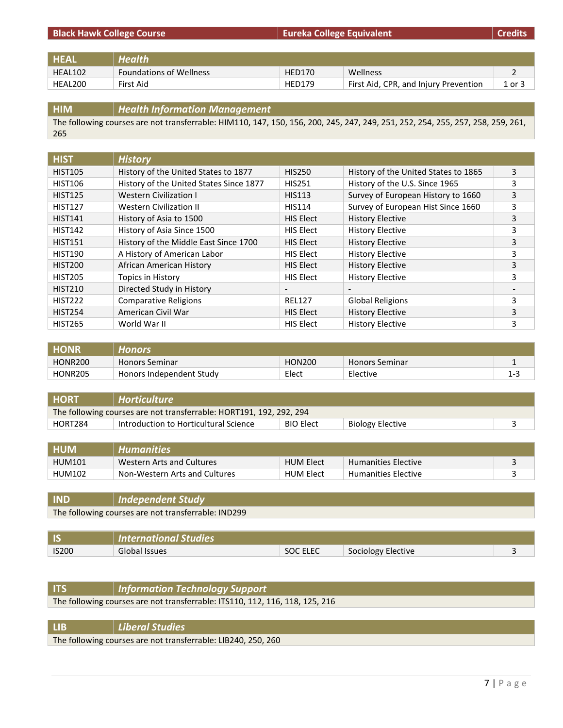| <b>Black Hawk College Course</b> |                                | <b>Eureka College Equivalent</b> |                                       | <b>Credits</b> |
|----------------------------------|--------------------------------|----------------------------------|---------------------------------------|----------------|
|                                  |                                |                                  |                                       |                |
| <b>HEAL</b>                      | <b>Health</b>                  |                                  |                                       |                |
| HEAL102                          | <b>Foundations of Wellness</b> | <b>HED170</b>                    | <b>Wellness</b>                       |                |
| HEAL200                          | First Aid                      | <b>HED179</b>                    | First Aid, CPR, and Injury Prevention | 1 or 3         |

| <b>HIM</b> | $\parallel$ Health Information Management                                                                                       |
|------------|---------------------------------------------------------------------------------------------------------------------------------|
|            | The following courses are not transferrable: HIM110, 147, 150, 156, 200, 245, 247, 249, 251, 252, 254, 255, 257, 258, 259, 261, |
| 265        |                                                                                                                                 |

| <b>HIST</b>    | <b>History</b>                          |                          |                                      |   |
|----------------|-----------------------------------------|--------------------------|--------------------------------------|---|
| <b>HIST105</b> | History of the United States to 1877    | <b>HIS250</b>            | History of the United States to 1865 | 3 |
| <b>HIST106</b> | History of the United States Since 1877 | <b>HIS251</b>            | History of the U.S. Since 1965       | 3 |
| <b>HIST125</b> | <b>Western Civilization I</b>           | <b>HIS113</b>            | Survey of European History to 1660   | 3 |
| <b>HIST127</b> | <b>Western Civilization II</b>          | <b>HIS114</b>            | Survey of European Hist Since 1660   | 3 |
| <b>HIST141</b> | History of Asia to 1500                 | <b>HIS Elect</b>         | <b>History Elective</b>              | 3 |
| <b>HIST142</b> | History of Asia Since 1500              | <b>HIS Elect</b>         | <b>History Elective</b>              | 3 |
| <b>HIST151</b> | History of the Middle East Since 1700   | <b>HIS Elect</b>         | <b>History Elective</b>              | 3 |
| <b>HIST190</b> | A History of American Labor             | HIS Elect                | <b>History Elective</b>              | 3 |
| <b>HIST200</b> | African American History                | <b>HIS Elect</b>         | <b>History Elective</b>              | 3 |
| <b>HIST205</b> | Topics in History                       | <b>HIS Elect</b>         | <b>History Elective</b>              | 3 |
| <b>HIST210</b> | Directed Study in History               | $\overline{\phantom{a}}$ |                                      |   |
| <b>HIST222</b> | <b>Comparative Religions</b>            | <b>REL127</b>            | <b>Global Religions</b>              | 3 |
| <b>HIST254</b> | American Civil War                      | <b>HIS Elect</b>         | <b>History Elective</b>              | 3 |
| <b>HIST265</b> | World War II                            | <b>HIS Elect</b>         | <b>History Elective</b>              | 3 |

| <b>HONR</b>    | Honors                   |               |                       |      |
|----------------|--------------------------|---------------|-----------------------|------|
| <b>HONR200</b> | <b>Honors Seminar</b>    | <b>HON200</b> | <b>Honors Seminar</b> |      |
| <b>HONR205</b> | Honors Independent Study | Elect         | Elective              | ت- ا |

| <b>HORT</b>                                                         | $\mid$ Horticulture                   |                  |                  |  |  |
|---------------------------------------------------------------------|---------------------------------------|------------------|------------------|--|--|
| The following courses are not transferrable: HORT191, 192, 292, 294 |                                       |                  |                  |  |  |
| HORT284                                                             | Introduction to Horticultural Science | <b>BIO Elect</b> | Biology Elective |  |  |

| <b>HUM</b>    | <b>Humanities</b>             |                  |                            |  |
|---------------|-------------------------------|------------------|----------------------------|--|
| <b>HUM101</b> | Western Arts and Cultures     | <b>HUM Elect</b> | <b>Humanities Elective</b> |  |
| <b>HUM102</b> | Non-Western Arts and Cultures | <b>HUM Elect</b> | <b>Humanities Elective</b> |  |

**IND** *Independent Study* The following courses are not transferrable: IND299

|              | $\mid$ International Studies |          |                    |  |
|--------------|------------------------------|----------|--------------------|--|
| <b>IS200</b> | Global Issues                | SOC ELEC | Sociology Elective |  |

| <b>ITS</b>                                                                   | Information Technology Support |  |  |
|------------------------------------------------------------------------------|--------------------------------|--|--|
| The following courses are not transferrable: ITS110, 112, 116, 118, 125, 216 |                                |  |  |
|                                                                              |                                |  |  |

| $\vert$ Liberal Studies                                       |
|---------------------------------------------------------------|
| The following courses are not transferrable: LIB240, 250, 260 |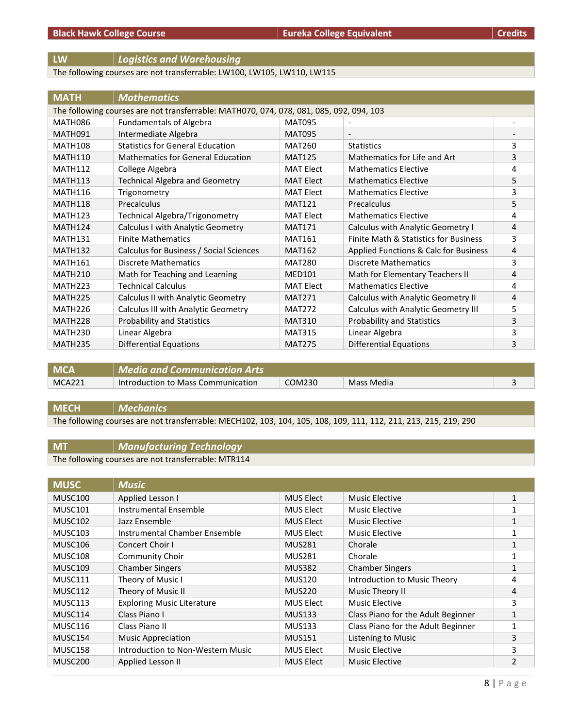### **LW** *Logistics and Warehousing*

The following courses are not transferrable: LW100, LW105, LW110, LW115

| <b>MATH</b>                                                                             | <b>Mathematics</b>                       |                  |                                       |   |  |
|-----------------------------------------------------------------------------------------|------------------------------------------|------------------|---------------------------------------|---|--|
| The following courses are not transferrable: MATH070, 074, 078, 081, 085, 092, 094, 103 |                                          |                  |                                       |   |  |
| <b>MATH086</b>                                                                          | <b>Fundamentals of Algebra</b>           | <b>MAT095</b>    |                                       |   |  |
| MATH091                                                                                 | Intermediate Algebra                     | <b>MAT095</b>    | $\overline{\phantom{a}}$              |   |  |
| <b>MATH108</b>                                                                          | <b>Statistics for General Education</b>  | <b>MAT260</b>    | <b>Statistics</b>                     | 3 |  |
| <b>MATH110</b>                                                                          | <b>Mathematics for General Education</b> | <b>MAT125</b>    | Mathematics for Life and Art          | 3 |  |
| <b>MATH112</b>                                                                          | College Algebra                          | <b>MAT Elect</b> | <b>Mathematics Elective</b>           | 4 |  |
| <b>MATH113</b>                                                                          | <b>Technical Algebra and Geometry</b>    | <b>MAT Elect</b> | <b>Mathematics Elective</b>           | 5 |  |
| <b>MATH116</b>                                                                          | Trigonometry                             | <b>MAT Elect</b> | <b>Mathematics Elective</b>           | 3 |  |
| <b>MATH118</b>                                                                          | Precalculus                              | <b>MAT121</b>    | Precalculus                           | 5 |  |
| <b>MATH123</b>                                                                          | Technical Algebra/Trigonometry           | <b>MAT Elect</b> | <b>Mathematics Elective</b>           | 4 |  |
| <b>MATH124</b>                                                                          | Calculus I with Analytic Geometry        | <b>MAT171</b>    | Calculus with Analytic Geometry I     | 4 |  |
| <b>MATH131</b>                                                                          | <b>Finite Mathematics</b>                | <b>MAT161</b>    | Finite Math & Statistics for Business | 3 |  |
| <b>MATH132</b>                                                                          | Calculus for Business / Social Sciences  | <b>MAT162</b>    | Applied Functions & Calc for Business | 4 |  |
| MATH161                                                                                 | <b>Discrete Mathematics</b>              | <b>MAT280</b>    | <b>Discrete Mathematics</b>           | 3 |  |
| <b>MATH210</b>                                                                          | Math for Teaching and Learning           | <b>MED101</b>    | Math for Elementary Teachers II       | 4 |  |
| MATH <sub>223</sub>                                                                     | <b>Technical Calculus</b>                | <b>MAT Elect</b> | <b>Mathematics Elective</b>           | 4 |  |
| <b>MATH225</b>                                                                          | Calculus II with Analytic Geometry       | <b>MAT271</b>    | Calculus with Analytic Geometry II    | 4 |  |
| MATH <sub>226</sub>                                                                     | Calculus III with Analytic Geometry      | <b>MAT272</b>    | Calculus with Analytic Geometry III   | 5 |  |
| <b>MATH228</b>                                                                          | <b>Probability and Statistics</b>        | <b>MAT310</b>    | <b>Probability and Statistics</b>     | 3 |  |
| <b>MATH230</b>                                                                          | Linear Algebra                           | <b>MAT315</b>    | Linear Algebra                        | 3 |  |
| <b>MATH235</b>                                                                          | Differential Equations                   | <b>MAT275</b>    | <b>Differential Equations</b>         | 3 |  |

| <b>MCA</b> | Media and Communication Arts       |        |            |  |
|------------|------------------------------------|--------|------------|--|
| MCA221     | Introduction to Mass Communication | COM230 | Mass Media |  |

#### **MECH** *Mechanics*

The following courses are not transferrable: MECH102, 103, 104, 105, 108, 109, 111, 112, 211, 213, 215, 219, 290

### **MT** *Manufacturing Technology*

The following courses are not transferrable: MTR114

| <b>MUSC</b>         | <b>Music</b>                      |                  |                                    |              |
|---------------------|-----------------------------------|------------------|------------------------------------|--------------|
| MUSC100             | Applied Lesson I                  | <b>MUS Elect</b> | <b>Music Elective</b>              | $\mathbf{1}$ |
| MUSC101             | Instrumental Ensemble             | <b>MUS Elect</b> | Music Elective                     |              |
| MUSC <sub>102</sub> | Jazz Ensemble                     | <b>MUS Elect</b> | Music Elective                     | 1            |
| MUSC103             | Instrumental Chamber Ensemble     | <b>MUS Elect</b> | Music Elective                     | 1            |
| MUSC106             | Concert Choir I                   | <b>MUS281</b>    | Chorale                            | 1            |
| MUSC108             | <b>Community Choir</b>            | <b>MUS281</b>    | Chorale                            | 1            |
| MUSC <sub>109</sub> | <b>Chamber Singers</b>            | <b>MUS382</b>    | <b>Chamber Singers</b>             | 1            |
| MUSC111             | Theory of Music I                 | <b>MUS120</b>    | Introduction to Music Theory       | 4            |
| MUSC112             | Theory of Music II                | <b>MUS220</b>    | Music Theory II                    | 4            |
| MUSC113             | <b>Exploring Music Literature</b> | <b>MUS Elect</b> | Music Elective                     | 3            |
| MUSC114             | Class Piano I                     | <b>MUS133</b>    | Class Piano for the Adult Beginner | $\mathbf{1}$ |
| MUSC116             | Class Piano II                    | <b>MUS133</b>    | Class Piano for the Adult Beginner | 1            |
| MUSC154             | <b>Music Appreciation</b>         | <b>MUS151</b>    | Listening to Music                 | 3            |
| MUSC158             | Introduction to Non-Western Music | <b>MUS Elect</b> | Music Elective                     | 3            |
| MUSC <sub>200</sub> | Applied Lesson II                 | <b>MUS Elect</b> | <b>Music Elective</b>              | 2            |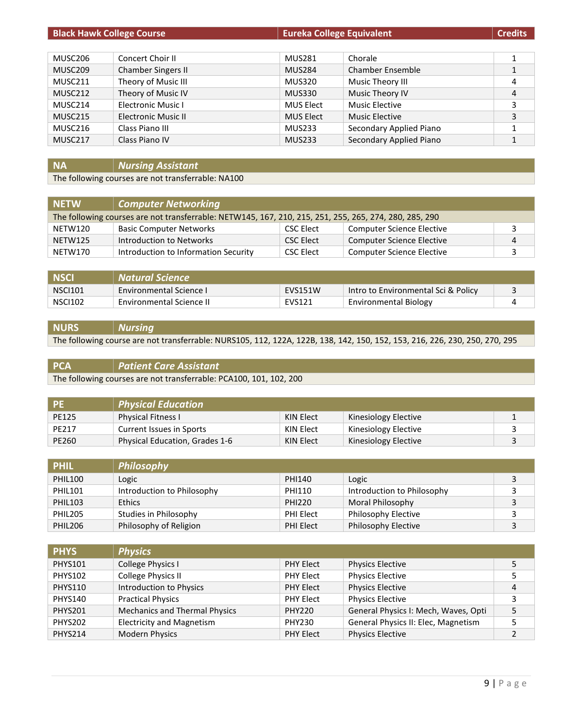| <b>Black Hawk College Course</b> |                           | <b>Eureka College Equivalent</b> |                         | <b>Credits</b> |
|----------------------------------|---------------------------|----------------------------------|-------------------------|----------------|
|                                  |                           |                                  |                         |                |
| MUSC206                          | Concert Choir II          | <b>MUS281</b>                    | Chorale                 |                |
| MUSC <sub>209</sub>              | Chamber Singers II        | <b>MUS284</b>                    | Chamber Ensemble        |                |
| MUSC211                          | Theory of Music III       | <b>MUS320</b>                    | Music Theory III        | 4              |
| MUSC <sub>212</sub>              | Theory of Music IV        | <b>MUS330</b>                    | Music Theory IV         | 4              |
| MUSC214                          | <b>Electronic Music I</b> | <b>MUS Elect</b>                 | <b>Music Elective</b>   | 3              |
| MUSC215                          | Electronic Music II       | <b>MUS Elect</b>                 | <b>Music Elective</b>   | 3              |
| MUSC216                          | Class Piano III           | <b>MUS233</b>                    | Secondary Applied Piano |                |
| MUSC217                          | Class Piano IV            | <b>MUS233</b>                    | Secondary Applied Piano |                |

## **NA** *Nursing Assistant*

The following courses are not transferrable: NA100

| <b>NETW</b> | Computer Networking                                                                                    |                  |                           |                |
|-------------|--------------------------------------------------------------------------------------------------------|------------------|---------------------------|----------------|
|             | The following courses are not transferrable: NETW145, 167, 210, 215, 251, 255, 265, 274, 280, 285, 290 |                  |                           |                |
| NETW120     | <b>Basic Computer Networks</b>                                                                         | CSC Elect        | Computer Science Elective | 3              |
| NETW125     | Introduction to Networks                                                                               | <b>CSC Elect</b> | Computer Science Elective | $\overline{4}$ |
| NETW170     | Introduction to Information Security                                                                   | <b>CSC Elect</b> | Computer Science Elective | ર              |

| <b>NSCI</b>    | Natural Science                 |                |                                     |  |
|----------------|---------------------------------|----------------|-------------------------------------|--|
| <b>NSCI101</b> | <b>Environmental Science I</b>  | <b>EVS151W</b> | Intro to Environmental Sci & Policy |  |
| <b>NSCI102</b> | <b>Environmental Science II</b> | EVS121         | <b>Environmental Biology</b>        |  |

### **NURS** *Nursing* The following course are not transferrable: NURS105, 112, 122A, 122B, 138, 142, 150, 152, 153, 216, 226, 230, 250, 270, 295

## **PCA** *Patient Care Assistant*

The following courses are not transferrable: PCA100, 101, 102, 200

| . PE         | <b>Physical Education</b>             |           |                      |  |
|--------------|---------------------------------------|-----------|----------------------|--|
| <b>PE125</b> | <b>Physical Fitness I</b>             | KIN Elect | Kinesiology Elective |  |
| PE217        | Current Issues in Sports              | KIN Elect | Kinesiology Elective |  |
| PE260        | <b>Physical Education, Grades 1-6</b> | KIN Elect | Kinesiology Elective |  |

| <b>PHIL</b>    | Philosophy                 |               |                            |  |
|----------------|----------------------------|---------------|----------------------------|--|
| <b>PHIL100</b> | Logic                      | PHI140        | Logic                      |  |
| <b>PHIL101</b> | Introduction to Philosophy | PHI110        | Introduction to Philosophy |  |
| <b>PHIL103</b> | <b>Ethics</b>              | <b>PHI220</b> | Moral Philosophy           |  |
| PHIL205        | Studies in Philosophy      | PHI Elect     | Philosophy Elective        |  |
| <b>PHIL206</b> | Philosophy of Religion     | PHI Elect     | Philosophy Elective        |  |

| <b>PHYS</b>    | <b>Physics</b>                   |                  |                                      |   |
|----------------|----------------------------------|------------------|--------------------------------------|---|
| <b>PHYS101</b> | College Physics I                | <b>PHY Elect</b> | <b>Physics Elective</b>              |   |
| <b>PHYS102</b> | College Physics II               | <b>PHY Elect</b> | <b>Physics Elective</b>              |   |
| <b>PHYS110</b> | Introduction to Physics          | <b>PHY Elect</b> | <b>Physics Elective</b>              | 4 |
| <b>PHYS140</b> | <b>Practical Physics</b>         | <b>PHY Elect</b> | <b>Physics Elective</b>              | 3 |
| <b>PHYS201</b> | Mechanics and Thermal Physics    | <b>PHY220</b>    | General Physics I: Mech, Waves, Opti |   |
| <b>PHYS202</b> | <b>Electricity and Magnetism</b> | <b>PHY230</b>    | General Physics II: Elec, Magnetism  |   |
| <b>PHYS214</b> | <b>Modern Physics</b>            | <b>PHY Elect</b> | <b>Physics Elective</b>              |   |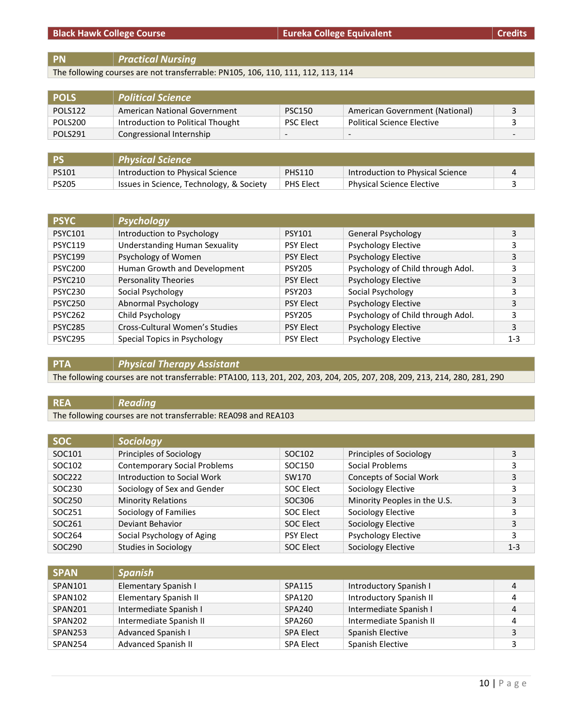#### **Black Hawk College Course Eureka College Equivalent Eureka College Equivalent Eureka College Equivalent Credits**

The following courses are not transferrable: PN105, 106, 110, 111, 112, 113, 114

| <b>POLS</b> | <b>Political Science</b>          |                          |                                   |  |
|-------------|-----------------------------------|--------------------------|-----------------------------------|--|
| POLS122     | American National Government      | <b>PSC150</b>            | American Government (National)    |  |
| POLS200     | Introduction to Political Thought | <b>PSC Elect</b>         | <b>Political Science Elective</b> |  |
| POLS291     | Congressional Internship          | $\overline{\phantom{0}}$ | $\overline{\phantom{a}}$          |  |
|             |                                   |                          |                                   |  |

| - PS         | $\mid$ Physical Science $\mid$           |                  |                                  |  |
|--------------|------------------------------------------|------------------|----------------------------------|--|
| PS101        | Introduction to Physical Science         | <b>PHS110</b>    | Introduction to Physical Science |  |
| <b>PS205</b> | Issues in Science, Technology, & Society | <b>PHS Elect</b> | <b>Physical Science Elective</b> |  |

| <b>PSYC</b>    | <b>Psychology</b>                    |                  |                                   |         |
|----------------|--------------------------------------|------------------|-----------------------------------|---------|
| <b>PSYC101</b> | Introduction to Psychology           | <b>PSY101</b>    | General Psychology                | 3       |
| <b>PSYC119</b> | <b>Understanding Human Sexuality</b> | <b>PSY Elect</b> | <b>Psychology Elective</b>        | 3       |
| <b>PSYC199</b> | Psychology of Women                  | <b>PSY Elect</b> | <b>Psychology Elective</b>        | 3       |
| <b>PSYC200</b> | Human Growth and Development         | <b>PSY205</b>    | Psychology of Child through Adol. | 3       |
| <b>PSYC210</b> | <b>Personality Theories</b>          | <b>PSY Elect</b> | <b>Psychology Elective</b>        | 3       |
| <b>PSYC230</b> | Social Psychology                    | <b>PSY203</b>    | Social Psychology                 | 3       |
| <b>PSYC250</b> | Abnormal Psychology                  | <b>PSY Elect</b> | <b>Psychology Elective</b>        | 3       |
| <b>PSYC262</b> | Child Psychology                     | <b>PSY205</b>    | Psychology of Child through Adol. | 3       |
| <b>PSYC285</b> | Cross-Cultural Women's Studies       | <b>PSY Elect</b> | <b>Psychology Elective</b>        | 3       |
| <b>PSYC295</b> | Special Topics in Psychology         | <b>PSY Elect</b> | <b>Psychology Elective</b>        | $1 - 3$ |

## **PTA** *Physical Therapy Assistant*

The following courses are not transferrable: PTA100, 113, 201, 202, 203, 204, 205, 207, 208, 209, 213, 214, 280, 281, 290

## **REA** *Reading*

The following courses are not transferrable: REA098 and REA103

| SOC <sub>1</sub> | Sociology                           |                  |                                |         |
|------------------|-------------------------------------|------------------|--------------------------------|---------|
| SOC101           | Principles of Sociology             | SOC102           | Principles of Sociology        | 3       |
| SOC102           | <b>Contemporary Social Problems</b> | SOC150           | Social Problems                | 3       |
| SOC222           | Introduction to Social Work         | SW170            | <b>Concepts of Social Work</b> | 3       |
| SOC230           | Sociology of Sex and Gender         | SOC Elect        | Sociology Elective             |         |
| SOC250           | <b>Minority Relations</b>           | SOC306           | Minority Peoples in the U.S.   | 3       |
| SOC251           | Sociology of Families               | SOC Elect        | Sociology Elective             | 3       |
| SOC261           | Deviant Behavior                    | <b>SOC Elect</b> | Sociology Elective             | 3       |
| SOC264           | Social Psychology of Aging          | <b>PSY Elect</b> | <b>Psychology Elective</b>     | 3       |
| SOC290           | Studies in Sociology                | SOC Elect        | Sociology Elective             | $1 - 3$ |

| <b>SPAN</b>    | <b>Spanish</b>             |                  |                         |   |
|----------------|----------------------------|------------------|-------------------------|---|
| SPAN101        | Elementary Spanish I       | SPA115           | Introductory Spanish I  |   |
| SPAN102        | Elementary Spanish II      | SPA120           | Introductory Spanish II |   |
| SPAN201        | Intermediate Spanish I     | SPA240           | Intermediate Spanish I  | 4 |
| SPAN202        | Intermediate Spanish II    | SPA260           | Intermediate Spanish II |   |
| <b>SPAN253</b> | Advanced Spanish I         | <b>SPA Elect</b> | Spanish Elective        | ∍ |
| SPAN254        | <b>Advanced Spanish II</b> | <b>SPA Elect</b> | Spanish Elective        |   |

**PN** *Practical Nursing*